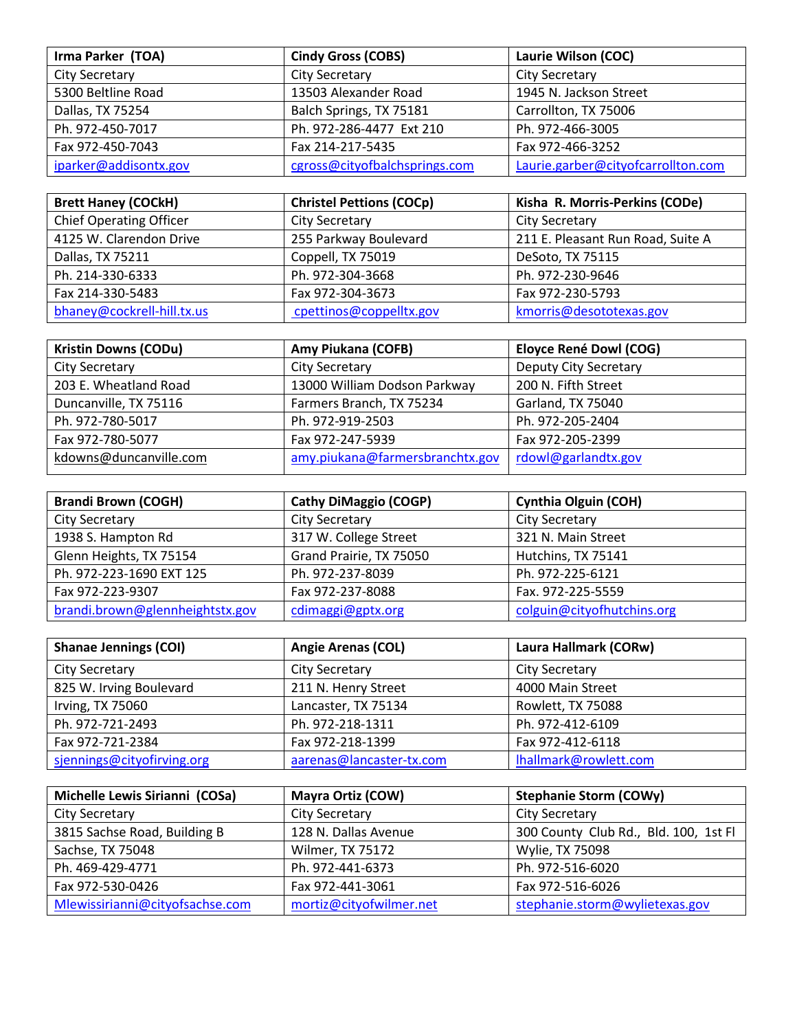| Irma Parker (TOA)     | <b>Cindy Gross (COBS)</b>     | Laurie Wilson (COC)                |
|-----------------------|-------------------------------|------------------------------------|
| <b>City Secretary</b> | City Secretary                | <b>City Secretary</b>              |
| 5300 Beltline Road    | 13503 Alexander Road          | 1945 N. Jackson Street             |
| Dallas, TX 75254      | Balch Springs, TX 75181       | Carrollton, TX 75006               |
| Ph. 972-450-7017      | Ph. 972-286-4477 Ext 210      | Ph. 972-466-3005                   |
| Fax 972-450-7043      | Fax 214-217-5435              | Fax 972-466-3252                   |
| iparker@addisontx.gov | cgross@cityofbalchsprings.com | Laurie.garber@cityofcarrollton.com |

| <b>Brett Haney (COCkH)</b>     | <b>Christel Pettions (COCp)</b> | Kisha R. Morris-Perkins (CODe)    |
|--------------------------------|---------------------------------|-----------------------------------|
| <b>Chief Operating Officer</b> | <b>City Secretary</b>           | <b>City Secretary</b>             |
| 4125 W. Clarendon Drive        | 255 Parkway Boulevard           | 211 E. Pleasant Run Road, Suite A |
| Dallas, TX 75211               | Coppell, TX 75019               | DeSoto, TX 75115                  |
| Ph. 214-330-6333               | Ph. 972-304-3668                | Ph. 972-230-9646                  |
| Fax 214-330-5483               | Fax 972-304-3673                | Fax 972-230-5793                  |
| bhaney@cockrell-hill.tx.us     | cpettinos@coppelltx.gov         | kmorris@desototexas.gov           |

| <b>Kristin Downs (CODu)</b> | Amy Piukana (COFB)              | Eloyce René Dowl (COG) |
|-----------------------------|---------------------------------|------------------------|
| City Secretary              | City Secretary                  | Deputy City Secretary  |
| 203 E. Wheatland Road       | 13000 William Dodson Parkway    | 200 N. Fifth Street    |
| Duncanville, TX 75116       | Farmers Branch, TX 75234        | Garland, TX 75040      |
| Ph. 972-780-5017            | Ph. 972-919-2503                | Ph. 972-205-2404       |
| Fax 972-780-5077            | Fax 972-247-5939                | Fax 972-205-2399       |
| kdowns@duncanville.com      | amy.piukana@farmersbranchtx.gov | rdowl@garlandtx.gov    |

| <b>Brandi Brown (COGH)</b>      | <b>Cathy DiMaggio (COGP)</b> | <b>Cynthia Olguin (COH)</b> |
|---------------------------------|------------------------------|-----------------------------|
| <b>City Secretary</b>           | City Secretary               | City Secretary              |
| 1938 S. Hampton Rd              | 317 W. College Street        | 321 N. Main Street          |
| Glenn Heights, TX 75154         | Grand Prairie, TX 75050      | Hutchins, TX 75141          |
| Ph. 972-223-1690 EXT 125        | Ph. 972-237-8039             | Ph. 972-225-6121            |
| Fax 972-223-9307                | Fax 972-237-8088             | Fax. 972-225-5559           |
| brandi.brown@glennheightstx.gov | cdimaggi@gptx.org            | colguin@cityofhutchins.org  |

| <b>Shanae Jennings (COI)</b> | <b>Angie Arenas (COL)</b> | Laura Hallmark (CORw) |
|------------------------------|---------------------------|-----------------------|
| City Secretary               | City Secretary            | City Secretary        |
| 825 W. Irving Boulevard      | 211 N. Henry Street       | 4000 Main Street      |
| Irving, TX 75060             | Lancaster, TX 75134       | Rowlett, TX 75088     |
| Ph. 972-721-2493             | Ph. 972-218-1311          | Ph. 972-412-6109      |
| Fax 972-721-2384             | Fax 972-218-1399          | Fax 972-412-6118      |
| sjennings@cityofirving.org   | aarenas@lancaster-tx.com  | Ihallmark@rowlett.com |

| Michelle Lewis Sirianni (COSa)  | <b>Mayra Ortiz (COW)</b> | <b>Stephanie Storm (COWy)</b>         |
|---------------------------------|--------------------------|---------------------------------------|
| City Secretary                  | <b>City Secretary</b>    | <b>City Secretary</b>                 |
| 3815 Sachse Road, Building B    | 128 N. Dallas Avenue     | 300 County Club Rd., Bld. 100, 1st Fl |
| Sachse, TX 75048                | Wilmer, TX 75172         | Wylie, TX 75098                       |
| Ph. 469-429-4771                | Ph. 972-441-6373         | Ph. 972-516-6020                      |
| Fax 972-530-0426                | Fax 972-441-3061         | Fax 972-516-6026                      |
| Mlewissirianni@cityofsachse.com | mortiz@cityofwilmer.net  | stephanie.storm@wylietexas.gov        |